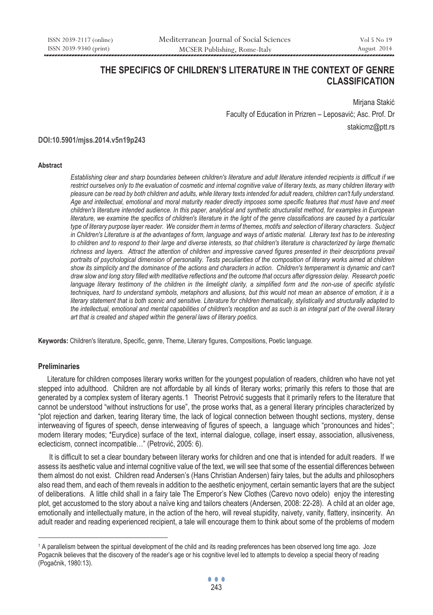# **THE SPECIFICS OF CHILDREN'S LITERATURE IN THE CONTEXT OF GENRE CLASSIFICATION**

Mirjana Stakić Faculty of Education in Prizren – Leposavić; Asc. Prof. Dr stakicmz@ptt.rs

**DOI:10.5901/mjss.2014.v5n19p243**

#### **Abstract**

*Establishing clear and sharp boundaries between children's literature and adult literature intended recipients is difficult if we*  restrict ourselves only to the evaluation of cosmetic and internal cognitive value of literary texts, as many children literary with *pleasure can be read by both children and adults, while literary texts intended for adult readers, children can't fully understand. Age and intellectual, emotional and moral maturity reader directly imposes some specific features that must have and meet children's literature intended audience. In this paper, analytical and synthetic structuralist method, for examples in European literature, we examine the specifics of children's literature in the light of the genre classifications are caused by a particular type of literary purpose layer reader. We consider them in terms of themes, motifs and selection of literary characters. Subject*  in Children's Literature is at the advantages of form, language and ways of artistic material. Literary text has to be interesting *to children and to respond to their large and diverse interests, so that children's literature is characterized by large thematic*  richness and layers. Attract the attention of children and impressive carved figures presented in their descriptions prevail *portraits of psychological dimension of personality. Tests peculiarities of the composition of literary works aimed at children* show its simplicity and the dominance of the actions and characters in action. Children's temperament is dynamic and can't *draw slow and long story filled with meditative reflections and the outcome that occurs after digression delay. Research poetic*  language literary testimony of the children in the limelight clarity, a simplified form and the non-use of specific stylistic *techniques, hard to understand symbols, metaphors and allusions, but this would not mean an absence of emotion, it is a literary statement that is both scenic and sensitive. Literature for children thematically, stylistically and structurally adapted to the intellectual, emotional and mental capabilities of children's reception and as such is an integral part of the overall literary art that is created and shaped within the general laws of literary poetics.* 

**Keywords:** Children's literature, Specific, genre, Theme, Literary figures, Compositions, Poetic language.

## **Preliminaries**

 $\overline{a}$ 

 Literature for children composes literary works written for the youngest population of readers, children who have not yet stepped into adulthood. Children are not affordable by all kinds of literary works; primarily this refers to those that are generated by a complex system of literary agents.1 Theorist Petrović suggests that it primarily refers to the literature that cannot be understood "without instructions for use", the prose works that, as a general literary principles characterized by "plot rejection and darken, tearing literary time, the lack of logical connection between thought sections, mystery, dense interweaving of figures of speech, dense interweaving of figures of speech, a language which "pronounces and hides"; modern literary modes; \*Eurydice) surface of the text, internal dialogue, collage, insert essay, association, allusiveness, eclecticism, connect incompatible…" (Petrović, 2005: 6).

 It is difficult to set a clear boundary between literary works for children and one that is intended for adult readers. If we assess its aesthetic value and internal cognitive value of the text, we will see that some of the essential differences between them almost do not exist. Children read Andersen's (Hans Christian Andersen) fairy tales, but the adults and philosophers also read them, and each of them reveals in addition to the aesthetic enjoyment, certain semantic layers that are the subject of deliberations. A little child shall in a fairy tale The Emperor's New Clothes (Carevo novo odelo) enjoy the interesting plot, get accustomed to the story about a naïve king and tailors cheaters (Andersen, 2008: 22-28). A child at an older age, emotionally and intellectually mature, in the action of the hero, will reveal stupidity, naivety, vanity, flattery, insincerity. An adult reader and reading experienced recipient, a tale will encourage them to think about some of the problems of modern

<sup>1</sup> A parallelism between the spiritual development of the child and its reading preferences has been observed long time ago. Joze Pogacnik believes that the discovery of the reader's age or his cognitive level led to attempts to develop a special theory of reading (Pogačnik, 1980:13).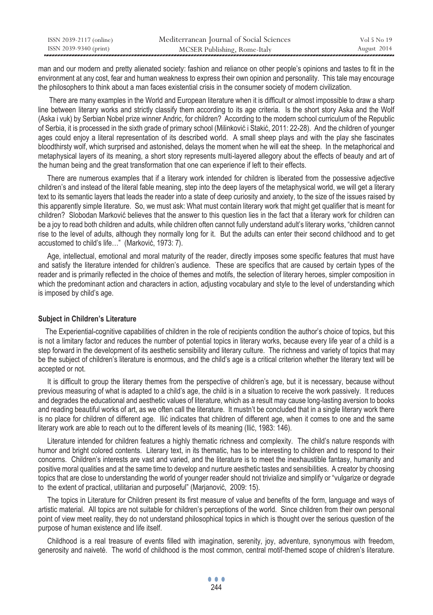| ISSN 2039-2117 (online) | Mediterranean Journal of Social Sciences | Vol 5 No 19 |
|-------------------------|------------------------------------------|-------------|
| ISSN 2039-9340 (print)  | MCSER Publishing, Rome-Italy             | August 2014 |

man and our modern and pretty alienated society: fashion and reliance on other people's opinions and tastes to fit in the environment at any cost, fear and human weakness to express their own opinion and personality. This tale may encourage the philosophers to think about a man faces existential crisis in the consumer society of modern civilization.

 There are many examples in the World and European literature when it is difficult or almost impossible to draw a sharp line between literary works and strictly classify them according to its age criteria. Is the short story Aska and the Wolf (Aska i vuk) by Serbian Nobel prize winner Andric, for children? According to the modern school curriculum of the Republic of Serbia, it is processed in the sixth grade of primary school (Milinković i Stakić, 2011: 22-28). And the children of younger ages could enjoy a literal representation of its described world. A small sheep plays and with the play she fascinates bloodthirsty wolf, which surprised and astonished, delays the moment when he will eat the sheep. In the metaphorical and metaphysical layers of its meaning, a short story represents multi-layered allegory about the effects of beauty and art of the human being and the great transformation that one can experience if left to their effects.

 There are numerous examples that if a literary work intended for children is liberated from the possessive adjective children's and instead of the literal fable meaning, step into the deep layers of the metaphysical world, we will get a literary text to its semantic layers that leads the reader into a state of deep curiosity and anxiety, to the size of the issues raised by this apparently simple literature. So, we must ask: What must contain literary work that might get qualifier that is meant for children? Slobodan Marković believes that the answer to this question lies in the fact that a literary work for children can be a joy to read both children and adults, while children often cannot fully understand adult's literary works, "children cannot rise to the level of adults, although they normally long for it. But the adults can enter their second childhood and to get accustomed to child's life…" (Marković, 1973: 7).

 Age, intellectual, emotional and moral maturity of the reader, directly imposes some specific features that must have and satisfy the literature intended for children's audience. These are specifics that are caused by certain types of the reader and is primarily reflected in the choice of themes and motifs, the selection of literary heroes, simpler composition in which the predominant action and characters in action, adjusting vocabulary and style to the level of understanding which is imposed by child's age.

#### **Subject in Children's Literature**

 The Experiential-cognitive capabilities of children in the role of recipients condition the author's choice of topics, but this is not a limitary factor and reduces the number of potential topics in literary works, because every life year of a child is a step forward in the development of its aesthetic sensibility and literary culture. The richness and variety of topics that may be the subject of children's literature is enormous, and the child's age is a critical criterion whether the literary text will be accepted or not.

 It is difficult to group the literary themes from the perspective of children's age, but it is necessary, because without previous measuring of what is adapted to a child's age, the child is in a situation to receive the work passively. It reduces and degrades the educational and aesthetic values of literature, which as a result may cause long-lasting aversion to books and reading beautiful works of art, as we often call the literature. It mustn't be concluded that in a single literary work there is no place for children of different age. Ilić indicates that children of different age, when it comes to one and the same literary work are able to reach out to the different levels of its meaning (Ilić, 1983: 146).

 Literature intended for children features a highly thematic richness and complexity. The child's nature responds with humor and bright colored contents. Literary text, in its thematic, has to be interesting to children and to respond to their concerns. Children's interests are vast and varied, and the literature is to meet the inexhaustible fantasy, humanity and positive moral qualities and at the same time to develop and nurture aesthetic tastes and sensibilities. A creator by choosing topics that are close to understanding the world of younger reader should not trivialize and simplify or "vulgarize or degrade to the extent of practical, utilitarian and purposeful" (Marjanović, 2009: 15).

 The topics in Literature for Children present its first measure of value and benefits of the form, language and ways of artistic material. All topics are not suitable for children's perceptions of the world. Since children from their own personal point of view meet reality, they do not understand philosophical topics in which is thought over the serious question of the purpose of human existence and life itself.

 Childhood is a real treasure of events filled with imagination, serenity, joy, adventure, synonymous with freedom, generosity and naiveté. The world of childhood is the most common, central motif-themed scope of children's literature.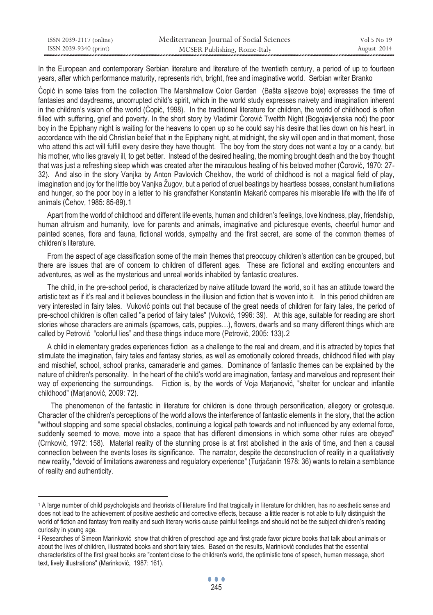| ISSN 2039-2117 (online) | Mediterranean Journal of Social Sciences | Vol 5 No 19 |
|-------------------------|------------------------------------------|-------------|
| ISSN 2039-9340 (print)  | MCSER Publishing, Rome-Italy             | August 2014 |

In the European and contemporary Serbian literature and literature of the twentieth century, a period of up to fourteen years, after which performance maturity, represents rich, bright, free and imaginative world. Serbian writer Branko

Ćopić in some tales from the collection The Marshmallow Color Garden (Bašta sljezove boje) expresses the time of fantasies and daydreams, uncorrupted child's spirit, which in the world study expresses naivety and imagination inherent in the children's vision of the world (Ćopić, 1998). In the traditional literature for children, the world of childhood is often filled with suffering, grief and poverty. In the short story by Vladimir Ćorović Twelfth Night (Bogojavljenska noć) the poor boy in the Epiphany night is waiting for the heavens to open up so he could say his desire that lies down on his heart, in accordance with the old Christian belief that in the Epiphany night, at midnight, the sky will open and in that moment, those who attend this act will fulfill every desire they have thought. The boy from the story does not want a toy or a candy, but his mother, who lies gravely ill, to get better. Instead of the desired healing, the morning brought death and the boy thought that was just a refreshing sleep which was created after the miraculous healing of his beloved mother (Ćorović, 1970: 27- 32). And also in the story Vanjka by Anton Pavlovich Chekhov, the world of childhood is not a magical field of play, imagination and joy for the little boy Vanjka Žugov, but a period of cruel beatings by heartless bosses, constant humiliations and hunger, so the poor boy in a letter to his grandfather Konstantin Makarič compares his miserable life with the life of animals (Čehov, 1985; 85-89).1

 Apart from the world of childhood and different life events, human and children's feelings, love kindness, play, friendship, human altruism and humanity, love for parents and animals, imaginative and picturesque events, cheerful humor and painted scenes, flora and fauna, fictional worlds, sympathy and the first secret, are some of the common themes of children's literature.

 From the aspect of age classification some of the main themes that preoccupy children's attention can be grouped, but there are issues that are of concern to children of different ages. These are fictional and exciting encounters and adventures, as well as the mysterious and unreal worlds inhabited by fantastic creatures.

 The child, in the pre-school period, is characterized by naive attitude toward the world, so it has an attitude toward the artistic text as if it's real and it believes boundless in the illusion and fiction that is woven into it. In this period children are very interested in fairy tales. Vuković points out that because of the great needs of children for fairy tales, the period of pre-school children is often called "a period of fairy tales" (Vuković, 1996: 39). At this age, suitable for reading are short stories whose characters are animals (sparrows, cats, puppies…), flowers, dwarfs and so many different things which are called by Petrović "colorful lies" and these things induce more (Petrović, 2005; 133).2

 A child in elementary grades experiences fiction as a challenge to the real and dream, and it is attracted by topics that stimulate the imagination, fairy tales and fantasy stories, as well as emotionally colored threads, childhood filled with play and mischief, school, school pranks, camaraderie and games. Dominance of fantastic themes can be explained by the nature of children's personality. In the heart of the child's world are imagination, fantasy and marvelous and represent their way of experiencing the surroundings. Fiction is, by the words of Voja Marjanović, "shelter for unclear and infantile childhood" (Marjanović, 2009: 72).

 The phenomenon of the fantastic in literature for children is done through personification, allegory or grotesque. Character of the children's perceptions of the world allows the interference of fantastic elements in the story, that the action "without stopping and some special obstacles, continuing a logical path towards and not influenced by any external force, suddenly seemed to move, move into a space that has different dimensions in which some other rules are obeyed" (Crnković, 1972: 158). Material reality of the stunning prose is at first abolished in the axis of time, and then a causal connection between the events loses its significance. The narrator, despite the deconstruction of reality in a qualitatively new reality, "devoid of limitations awareness and regulatory experience" (Turjačanin 1978: 36) wants to retain a semblance of reality and authenticity.

 $\overline{a}$ 

<sup>1</sup> A large number of child psychologists and theorists of literature find that tragically in literature for children, has no aesthetic sense and does not lead to the achievement of positive aesthetic and corrective effects, because a little reader is not able to fully distinguish the world of fiction and fantasy from reality and such literary works cause painful feelings and should not be the subject children's reading curiosity in young age.

<sup>&</sup>lt;sup>2</sup> Researches of Simeon Marinković show that children of preschool age and first grade favor picture books that talk about animals or about the lives of children, illustrated books and short fairy tales. Based on the results, Marinković concludes that the essential characteristics of the first great books are "content close to the children's world, the optimistic tone of speech, human message, short text, lively illustrations" (Marinković, 1987: 161).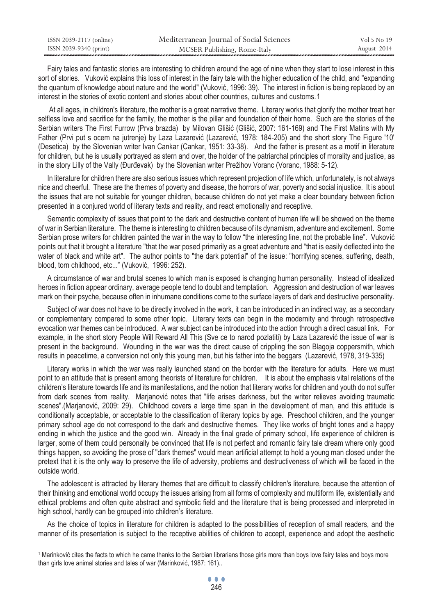| ISSN 2039-2117 (online) | Mediterranean Journal of Social Sciences | Vol 5 No 19 |
|-------------------------|------------------------------------------|-------------|
| ISSN 2039-9340 (print)  | MCSER Publishing, Rome-Italy             | August 2014 |

 Fairy tales and fantastic stories are interesting to children around the age of nine when they start to lose interest in this sort of stories. Vuković explains this loss of interest in the fairy tale with the higher education of the child, and "expanding the quantum of knowledge about nature and the world" (Vuković, 1996: 39). The interest in fiction is being replaced by an interest in the stories of exotic content and stories about other countries, cultures and customs, 1

 At all ages, in children's literature, the mother is a great narrative theme. Literary works that glorify the mother treat her selfless love and sacrifice for the family, the mother is the pillar and foundation of their home. Such are the stories of the Serbian writers The First Furrow (Prva brazda) by Milovan Glišić (Glišić, 2007: 161-169) and The First Matins with My Father (Prvi put s ocem na jutrenje) by Laza Lazarević (Lazarević, 1978: 184-205) and the short story The Figure '10' (Desetica) by the Slovenian writer Ivan Cankar (Cankar, 1951: 33-38). And the father is present as a motif in literature for children, but he is usually portrayed as stern and over, the holder of the patriarchal principles of morality and justice, as in the story Lilly of the Vally (Đurđevak) by the Slovenian writer Prežihov Voranc (Voranc, 1988: 5-12).

 In literature for children there are also serious issues which represent projection of life which, unfortunately, is not always nice and cheerful. These are the themes of poverty and disease, the horrors of war, poverty and social injustice. It is about the issues that are not suitable for younger children, because children do not yet make a clear boundary between fiction presented in a conjured world of literary texts and reality, and react emotionally and receptive.

 Semantic complexity of issues that point to the dark and destructive content of human life will be showed on the theme of war in Serbian literature. The theme is interesting to children because of its dynamism, adventure and excitement. Some Serbian prose writers for children painted the war in the way to follow "the interesting line, not the probable line". Vuković points out that it brought a literature "that the war posed primarily as a great adventure and "that is easily deflected into the water of black and white art". The author points to "the dark potential" of the issue: "horrifying scenes, suffering, death, blood, torn childhood, etc..." (Vuković, 1996: 252).

 A circumstance of war and brutal scenes to which man is exposed is changing human personality. Instead of idealized heroes in fiction appear ordinary, average people tend to doubt and temptation. Aggression and destruction of war leaves mark on their psyche, because often in inhumane conditions come to the surface layers of dark and destructive personality.

 Subject of war does not have to be directly involved in the work, it can be introduced in an indirect way, as a secondary or complementary compared to some other topic. Literary texts can begin in the modernity and through retrospective evocation war themes can be introduced. A war subject can be introduced into the action through a direct casual link. For example, in the short story People Will Reward All This (Sve ce to narod pozlatiti) by Laza Lazarević the issue of war is present in the background. Wounding in the war was the direct cause of crippling the son Blagoja coppersmith, which results in peacetime, a conversion not only this young man, but his father into the beggars (Lazarević, 1978, 319-335)

 Literary works in which the war was really launched stand on the border with the literature for adults. Here we must point to an attitude that is present among theorists of literature for children. It is about the emphasis vital relations of the children's literature towards life and its manifestations, and the notion that literary works for children and youth do not suffer from dark scenes from reality. Marjanović notes that "life arises darkness, but the writer relieves avoiding traumatic scenes".(Marianović, 2009; 29). Childhood covers a large time span in the development of man, and this attitude is conditionally acceptable, or acceptable to the classification of literary topics by age. Preschool children, and the younger primary school age do not correspond to the dark and destructive themes. They like works of bright tones and a happy ending in which the justice and the good win. Already in the final grade of primary school, life experience of children is larger, some of them could personally be convinced that life is not perfect and romantic fairy tale dream where only good things happen, so avoiding the prose of "dark themes" would mean artificial attempt to hold a young man closed under the pretext that it is the only way to preserve the life of adversity, problems and destructiveness of which will be faced in the outside world.

 The adolescent is attracted by literary themes that are difficult to classify children's literature, because the attention of their thinking and emotional world occupy the issues arising from all forms of complexity and multiform life, existentially and ethical problems and often quite abstract and symbolic field and the literature that is being processed and interpreted in high school, hardly can be grouped into children's literature.

 As the choice of topics in literature for children is adapted to the possibilities of reception of small readers, and the manner of its presentation is subject to the receptive abilities of children to accept, experience and adopt the aesthetic

 $\overline{a}$ 

<sup>1</sup> Marinković cites the facts to which he came thanks to the Serbian librarians those girls more than boys love fairy tales and boys more than girls love animal stories and tales of war (Marinković, 1987: 161)..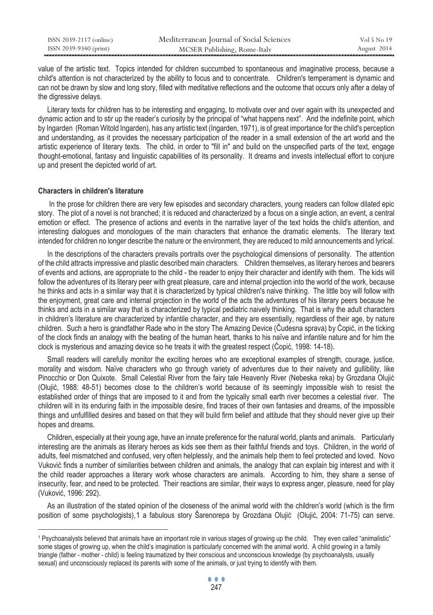| ISSN 2039-2117 (online) | Mediterranean Journal of Social Sciences | Vol 5 No 19 |
|-------------------------|------------------------------------------|-------------|
| ISSN 2039-9340 (print)  | MCSER Publishing, Rome-Italy             | August 2014 |

value of the artistic text. Topics intended for children succumbed to spontaneous and imaginative process, because a child's attention is not characterized by the ability to focus and to concentrate. Children's temperament is dynamic and can not be drawn by slow and long story, filled with meditative reflections and the outcome that occurs only after a delay of the digressive delays.

 Literary texts for children has to be interesting and engaging, to motivate over and over again with its unexpected and dynamic action and to stir up the reader's curiosity by the principal of "what happens next". And the indefinite point, which by Ingarden (Roman Witold Ingarden), has any artistic text (Ingarden, 1971), is of great importance for the child's perception and understanding, as it provides the necessary participation of the reader in a small extension of the art world and the artistic experience of literary texts. The child, in order to "fill in" and build on the unspecified parts of the text, engage thought-emotional, fantasy and linguistic capabilities of its personality. It dreams and invests intellectual effort to conjure up and present the depicted world of art.

## **Characters in children's literature**

 $\overline{a}$ 

 In the prose for children there are very few episodes and secondary characters, young readers can follow dilated epic story. The plot of a novel is not branched; it is reduced and characterized by a focus on a single action, an event, a central emotion or effect. The presence of actions and events in the narrative layer of the text holds the child's attention, and interesting dialogues and monologues of the main characters that enhance the dramatic elements. The literary text intended for children no longer describe the nature or the environment, they are reduced to mild announcements and lyrical.

 In the descriptions of the characters prevails portraits over the psychological dimensions of personality. The attention of the child attracts impressive and plastic described main characters. Children themselves, as literary heroes and bearers of events and actions, are appropriate to the child - the reader to enjoy their character and identify with them. The kids will follow the adventures of its literary peer with great pleasure, care and internal projection into the world of the work, because he thinks and acts in a similar way that it is characterized by typical children's naive thinking. The little boy will follow with the enjoyment, great care and internal projection in the world of the acts the adventures of his literary peers because he thinks and acts in a similar way that is characterized by typical pediatric naively thinking. That is why the adult characters in children's literature are characterized by infantile character, and they are essentially, regardless of their age, by nature children. Such a hero is grandfather Rade who in the story The Amazing Device (Čudesna sprava) by Ćopić, in the ticking of the clock finds an analogy with the beating of the human heart, thanks to his naïve and infantile nature and for him the clock is mysterious and amazing device so he treats it with the greatest respect (Ćopić, 1998: 14-18).

 Small readers will carefully monitor the exciting heroes who are exceptional examples of strength, courage, justice, morality and wisdom. Naïve characters who go through variety of adventures due to their naivety and gullibility, like Pinocchio or Don Quixote. Small Celestial River from the fairy tale Heavenly River (Nebeska reka) by Grozdana Olujić (Olujić, 1988: 48-51) becomes close to the children's world because of its seemingly impossible wish to resist the established order of things that are imposed to it and from the typically small earth river becomes a celestial river. The children will in its enduring faith in the impossible desire, find traces of their own fantasies and dreams, of the impossible things and unfulfilled desires and based on that they will build firm belief and attitude that they should never give up their hopes and dreams.

 Children, especially at their young age, have an innate preference for the natural world, plants and animals. Particularly interesting are the animals as literary heroes as kids see them as their faithful friends and toys. Children, in the world of adults, feel mismatched and confused, very often helplessly, and the animals help them to feel protected and loved. Novo Vuković finds a number of similarities between children and animals, the analogy that can explain big interest and with it the child reader approaches a literary work whose characters are animals. According to him, they share a sense of insecurity, fear, and need to be protected. Their reactions are similar, their ways to express anger, pleasure, need for play (Vuković, 1996: 292).

 As an illustration of the stated opinion of the closeness of the animal world with the children's world (which is the firm position of some psychologists),1 a fabulous story Šarenorepa by Grozdana Olujić (Olujić, 2004: 71-75) can serve.

<sup>1</sup> Psychoanalysts believed that animals have an important role in various stages of growing up the child. They even called "animalistic" some stages of growing up, when the child's imagination is particularly concerned with the animal world. A child growing in a family triangle (father - mother - child) is feeling traumatized by their conscious and unconscious knowledge (by psychoanalysts, usually sexual) and unconsciously replaced its parents with some of the animals, or just trying to identify with them.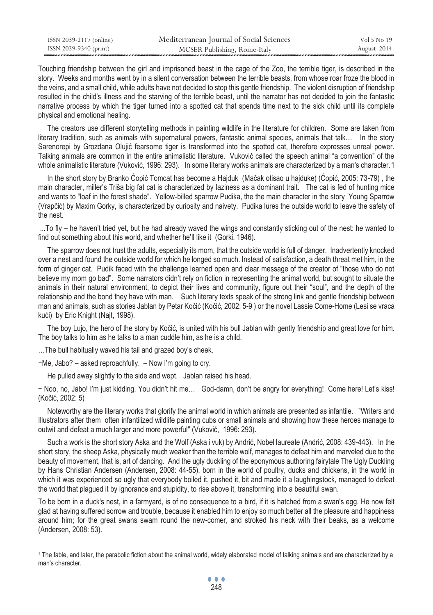| ISSN 2039-2117 (online) | Mediterranean Journal of Social Sciences | Vol 5 No 19 |
|-------------------------|------------------------------------------|-------------|
| ISSN 2039-9340 (print)  | MCSER Publishing, Rome-Italy             | August 2014 |

Touching friendship between the girl and imprisoned beast in the cage of the Zoo, the terrible tiger, is described in the story. Weeks and months went by in a silent conversation between the terrible beasts, from whose roar froze the blood in the veins, and a small child, while adults have not decided to stop this gentle friendship. The violent disruption of friendship resulted in the child's illness and the starving of the terrible beast, until the narrator has not decided to join the fantastic narrative process by which the tiger turned into a spotted cat that spends time next to the sick child until its complete physical and emotional healing.

 The creators use different storytelling methods in painting wildlife in the literature for children. Some are taken from literary tradition, such as animals with supernatural powers, fantastic animal species, animals that talk... In the story Sarenorepi by Grozdana Olujić fearsome tiger is transformed into the spotted cat, therefore expresses unreal power. Talking animals are common in the entire animalistic literature. Vuković called the speech animal "a convention" of the whole animalistic literature (Vuković, 1996; 293). In some literary works animals are characterized by a man's character. 1

 In the short story by Branko Ćopić Tomcat has become a Hajduk (Mačak otisao u hajduke) (Ćopić, 2005: 73-79) , the main character, miller's Triša big fat cat is characterized by laziness as a dominant trait. The cat is fed of hunting mice and wants to "loaf in the forest shade". Yellow-billed sparrow Pudika, the the main character in the story Young Sparrow (Vrapčić) by Maxim Gorky, is characterized by curiosity and naivety. Pudika lures the outside world to leave the safety of the nest.

 ...To fly – he haven't tried yet, but he had already waved the wings and constantly sticking out of the nest: he wanted to find out something about this world, and whether he'll like it (Gorki, 1946).

 The sparrow does not trust the adults, especially its mom, that the outside world is full of danger. Inadvertently knocked over a nest and found the outside world for which he longed so much. Instead of satisfaction, a death threat met him, in the form of ginger cat. Pudik faced with the challenge learned open and clear message of the creator of "those who do not believe my mom go bad". Some narrators didn't rely on fiction in representing the animal world, but sought to situate the animals in their natural environment, to depict their lives and community, figure out their "soul", and the depth of the relationship and the bond they have with man. Such literary texts speak of the strong link and gentle friendship between man and animals, such as stories Jablan by Petar Kočić (Kočić, 2002: 5-9 ) or the novel Lassie Come-Home (Lesi se vraca kući) by Eric Knight (Najt, 1998).

 The boy Lujo, the hero of the story by Kočić, is united with his bull Jablan with gently friendship and great love for him. The boy talks to him as he talks to a man cuddle him, as he is a child.

…The bull habitually waved his tail and grazed boy's cheek.

−Me, Jabo? – asked reproachfully. – Now I'm going to cry.

 $\overline{a}$ 

He pulled away slightly to the side and wept. Jablan raised his head.

− Noo, no, Jabo! I'm just kidding. You didn't hit me… God-damn, don't be angry for everything! Come here! Let's kiss! (Kočić, 2002: 5)

 Noteworthy are the literary works that glorify the animal world in which animals are presented as infantile. "Writers and Illustrators after them often infantilized wildlife painting cubs or small animals and showing how these heroes manage to outwit and defeat a much larger and more powerful" (Vuković, 1996: 293).

 Such a work is the short story Aska and the Wolf (Aska i vuk) by Andrić, Nobel laureate (Andrić, 2008: 439-443). In the short story, the sheep Aska, physically much weaker than the terrible wolf, manages to defeat him and marveled due to the beauty of movement, that is, art of dancing. And the ugly duckling of the eponymous authoring fairytale The Ugly Duckling by Hans Christian Andersen (Andersen, 2008: 44-55), born in the world of poultry, ducks and chickens, in the world in which it was experienced so ugly that everybody boiled it, pushed it, bit and made it a laughingstock, managed to defeat the world that plagued it by ignorance and stupidity, to rise above it, transforming into a beautiful swan.

To be born in a duck's nest, in a farmyard, is of no consequence to a bird, if it is hatched from a swan's egg. He now felt glad at having suffered sorrow and trouble, because it enabled him to enjoy so much better all the pleasure and happiness around him; for the great swans swam round the new-comer, and stroked his neck with their beaks, as a welcome (Andersen, 2008: 53).

<sup>1</sup> The fable, and later, the parabolic fiction about the animal world, widely elaborated model of talking animals and are characterized by a man's character.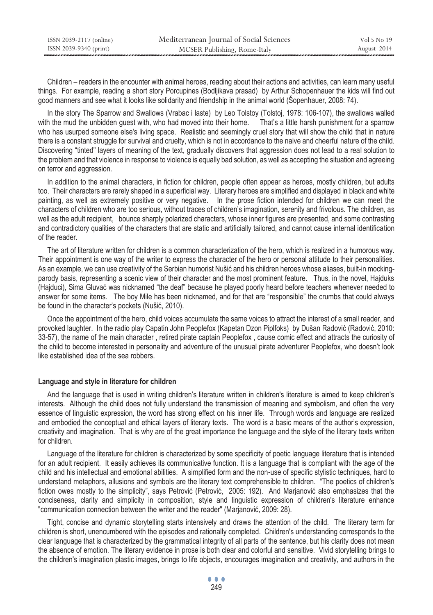Children – readers in the encounter with animal heroes, reading about their actions and activities, can learn many useful things. For example, reading a short story Porcupines (Bodljikava prasad) by Arthur Schopenhauer the kids will find out good manners and see what it looks like solidarity and friendship in the animal world (Šopenhauer, 2008: 74).

 In the story The Sparrow and Swallows (Vrabac i laste) by Leo Tolstoy (Tolstoj, 1978: 106-107), the swallows walled with the mud the unbidden quest with, who had moved into their home. That's a little harsh punishment for a sparrow who has usurped someone else's living space. Realistic and seemingly cruel story that will show the child that in nature there is a constant struggle for survival and cruelty, which is not in accordance to the naive and cheerful nature of the child. Discovering "tinted" layers of meaning of the text, gradually discovers that aggression does not lead to a real solution to the problem and that violence in response to violence is equally bad solution, as well as accepting the situation and agreeing on terror and aggression.

 In addition to the animal characters, in fiction for children, people often appear as heroes, mostly children, but adults too. Their characters are rarely shaped in a superficial way. Literary heroes are simplified and displayed in black and white painting, as well as extremely positive or very negative. In the prose fiction intended for children we can meet the characters of children who are too serious, without traces of children's imagination, serenity and frivolous. The children, as well as the adult recipient, bounce sharply polarized characters, whose inner figures are presented, and some contrasting and contradictory qualities of the characters that are static and artificially tailored, and cannot cause internal identification of the reader.

 The art of literature written for children is a common characterization of the hero, which is realized in a humorous way. Their appointment is one way of the writer to express the character of the hero or personal attitude to their personalities. As an example, we can use creativity of the Serbian humorist Nušić and his children heroes whose aliases, built-in mockingparody basis, representing a scenic view of their character and the most prominent feature. Thus, in the novel, Hajduks (Hajduci), Sima Gluvać was nicknamed "the deaf" because he played poorly heard before teachers whenever needed to answer for some items. The boy Mile has been nicknamed, and for that are "responsible" the crumbs that could always be found in the character's pockets (Nušić, 2010).

 Once the appointment of the hero, child voices accumulate the same voices to attract the interest of a small reader, and provoked laughter. In the radio play Capatin John Peoplefox (Kapetan Dzon Piplfoks) by Dušan Radović (Radović, 2010: 33-57), the name of the main character , retired pirate captain Peoplefox , cause comic effect and attracts the curiosity of the child to become interested in personality and adventure of the unusual pirate adventurer Peoplefox, who doesn't look like established idea of the sea robbers.

# **Language and style in literature for children**

 And the language that is used in writing children's literature written in children's literature is aimed to keep children's interests. Although the child does not fully understand the transmission of meaning and symbolism, and often the very essence of linguistic expression, the word has strong effect on his inner life. Through words and language are realized and embodied the conceptual and ethical layers of literary texts. The word is a basic means of the author's expression, creativity and imagination. That is why are of the great importance the language and the style of the literary texts written for children.

 Language of the literature for children is characterized by some specificity of poetic language literature that is intended for an adult recipient. It easily achieves its communicative function. It is a language that is compliant with the age of the child and his intellectual and emotional abilities. A simplified form and the non-use of specific stylistic techniques, hard to understand metaphors, allusions and symbols are the literary text comprehensible to children. "The poetics of children's fiction owes mostly to the simplicity", says Petrović (Petrović, 2005: 192). And Marjanović also emphasizes that the conciseness, clarity and simplicity in composition, style and linguistic expression of children's literature enhance "communication connection between the writer and the reader" (Marjanović, 2009: 28).

 Tight, concise and dynamic storytelling starts intensively and draws the attention of the child. The literary term for children is short, unencumbered with the episodes and rationally completed. Children's understanding corresponds to the clear language that is characterized by the grammatical integrity of all parts of the sentence, but his clarity does not mean the absence of emotion. The literary evidence in prose is both clear and colorful and sensitive. Vivid storytelling brings to the children's imagination plastic images, brings to life objects, encourages imagination and creativity, and authors in the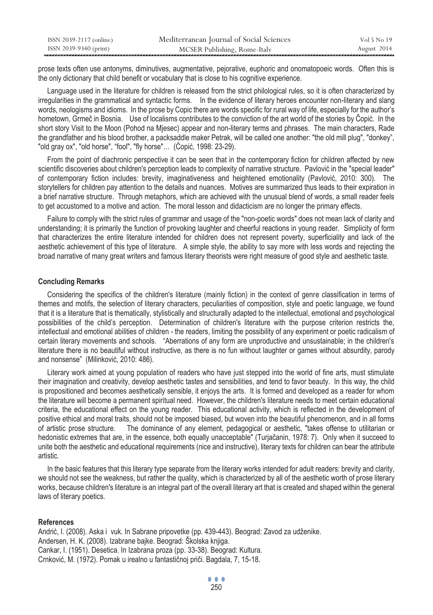| ISSN 2039-2117 (online) | Mediterranean Journal of Social Sciences | Vol 5 No 19 |
|-------------------------|------------------------------------------|-------------|
| ISSN 2039-9340 (print)  | MCSER Publishing, Rome-Italy             | August 2014 |

prose texts often use antonyms, diminutives, augmentative, pejorative, euphoric and onomatopoeic words. Often this is the only dictionary that child benefit or vocabulary that is close to his cognitive experience.

 Language used in the literature for children is released from the strict philological rules, so it is often characterized by irregularities in the grammatical and syntactic forms. In the evidence of literary heroes encounter non-literary and slang words, neologisms and idioms. In the prose by Copic there are words specific for rural way of life, especially for the author's hometown, Grmeč in Bosnia. Use of localisms contributes to the conviction of the art world of the stories by Čopić. In the short story Visit to the Moon (Pohod na Mjesec) appear and non-literary terms and phrases. The main characters, Rade the grandfather and his blood brother, a packsaddle maker Petrak, will be called one another: "the old mill plug", "donkey", "old gray ox", "old horse", "fool", "fly horse"… (Ćopić, 1998: 23-29).

 From the point of diachronic perspective it can be seen that in the contemporary fiction for children affected by new scientific discoveries about children's perception leads to complexity of narrative structure. Pavlović in the "special leader" of contemporary fiction includes: brevity, imaginativeness and heightened emotionality (Pavlović, 2010: 300). The storytellers for children pay attention to the details and nuances. Motives are summarized thus leads to their expiration in a brief narrative structure. Through metaphors, which are achieved with the unusual blend of words, a small reader feels to get accustomed to a motive and action. The moral lesson and didacticism are no longer the primary effects.

 Failure to comply with the strict rules of grammar and usage of the "non-poetic words" does not mean lack of clarity and understanding; it is primarily the function of provoking laughter and cheerful reactions in young reader. Simplicity of form that characterizes the entire literature intended for children does not represent poverty, superficiality and lack of the aesthetic achievement of this type of literature. A simple style, the ability to say more with less words and rejecting the broad narrative of many great writers and famous literary theorists were right measure of good style and aesthetic taste.

## **Concluding Remarks**

 Considering the specifics of the children's literature (mainly fiction) in the context of genre classification in terms of themes and motifs, the selection of literary characters, peculiarities of composition, style and poetic language, we found that it is a literature that is thematically, stylistically and structurally adapted to the intellectual, emotional and psychological possibilities of the child's perception. Determination of children's literature with the purpose criterion restricts the, intellectual and emotional abilities of children - the readers, limiting the possibility of any experiment or poetic radicalism of certain literary movements and schools. "Aberrations of any form are unproductive and unsustainable; in the children's literature there is no beautiful without instructive, as there is no fun without laughter or games without absurdity, parody and nonsense" (Milinković, 2010: 486).

 Literary work aimed at young population of readers who have just stepped into the world of fine arts, must stimulate their imagination and creativity, develop aesthetic tastes and sensibilities, and tend to favor beauty. In this way, the child is propositioned and becomes aesthetically sensible, it enjoys the arts. It is formed and developed as a reader for whom the literature will become a permanent spiritual need. However, the children's literature needs to meet certain educational criteria, the educational effect on the young reader. This educational activity, which is reflected in the development of positive ethical and moral traits, should not be imposed biased, but woven into the beautiful phenomenon, and in all forms of artistic prose structure. The dominance of any element, pedagogical or aesthetic, "takes offense to utilitarian or hedonistic extremes that are, in the essence, both equally unacceptable" (Turjačanin, 1978: 7). Only when it succeed to unite both the aesthetic and educational requirements (nice and instructive), literary texts for children can bear the attribute artistic.

 In the basic features that this literary type separate from the literary works intended for adult readers: brevity and clarity, we should not see the weakness, but rather the quality, which is characterized by all of the aesthetic worth of prose literary works, because children's literature is an integral part of the overall literary art that is created and shaped within the general laws of literary poetics.

#### **References**

Andrić, I. (2008). Aska i vuk. In Sabrane pripovetke (pp. 439-443). Beograd: Zavod za udženike. Andersen, H. K. (2008). Izabrane bajke. Beograd: Školska knjiga. Cankar, I. (1951). Desetica. In Izabrana proza (pp. 33-38). Beograd: Kultura. Crnković, M. (1972). Pomak u irealno u fantastičnoj priči. Bagdala, 7, 15-18.